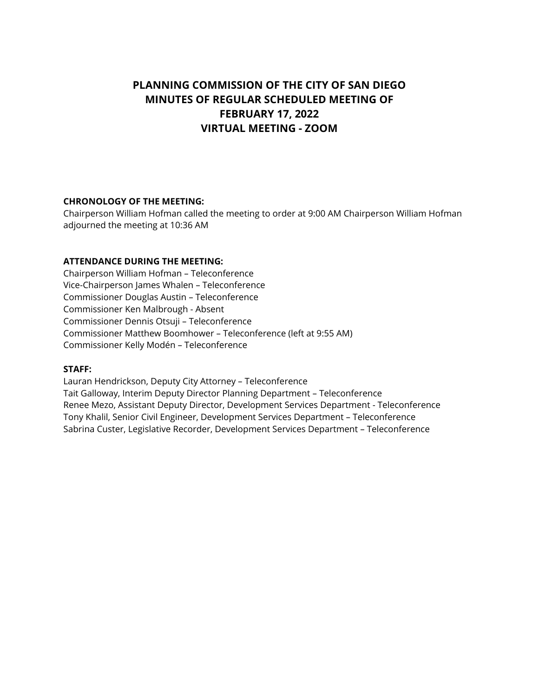# **PLANNING COMMISSION OF THE CITY OF SAN DIEGO MINUTES OF REGULAR SCHEDULED MEETING OF FEBRUARY 17, 2022 VIRTUAL MEETING - ZOOM**

### **CHRONOLOGY OF THE MEETING:**

Chairperson William Hofman called the meeting to order at 9:00 AM Chairperson William Hofman adjourned the meeting at 10:36 AM

# **ATTENDANCE DURING THE MEETING:**

Chairperson William Hofman – Teleconference Vice-Chairperson James Whalen – Teleconference Commissioner Douglas Austin – Teleconference Commissioner Ken Malbrough - Absent Commissioner Dennis Otsuji – Teleconference Commissioner Matthew Boomhower – Teleconference (left at 9:55 AM) Commissioner Kelly Modén – Teleconference

### **STAFF:**

Lauran Hendrickson, Deputy City Attorney – Teleconference Tait Galloway, Interim Deputy Director Planning Department – Teleconference Renee Mezo, Assistant Deputy Director, Development Services Department - Teleconference Tony Khalil, Senior Civil Engineer, Development Services Department – Teleconference Sabrina Custer, Legislative Recorder, Development Services Department – Teleconference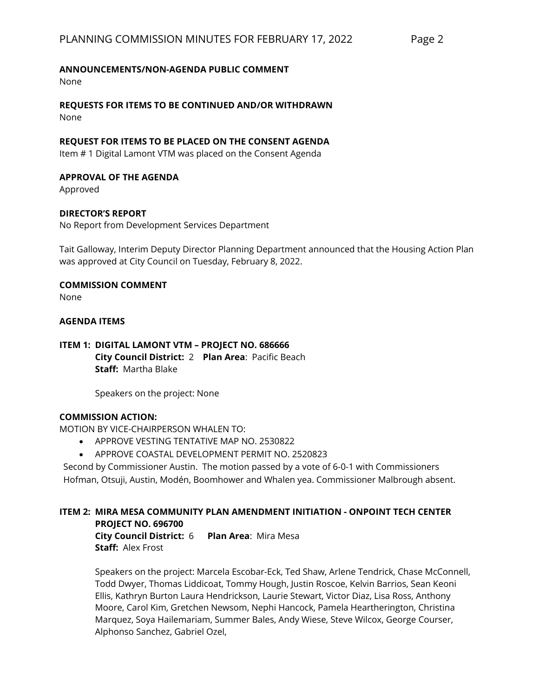## **ANNOUNCEMENTS/NON-AGENDA PUBLIC COMMENT**

None

**REQUESTS FOR ITEMS TO BE CONTINUED AND/OR WITHDRAWN** None

## **REQUEST FOR ITEMS TO BE PLACED ON THE CONSENT AGENDA**

Item # 1 Digital Lamont VTM was placed on the Consent Agenda

### **APPROVAL OF THE AGENDA**

Approved

# **DIRECTOR'S REPORT**

No Report from Development Services Department

Tait Galloway, Interim Deputy Director Planning Department announced that the Housing Action Plan was approved at City Council on Tuesday, February 8, 2022.

# **COMMISSION COMMENT**

None

### **AGENDA ITEMS**

# **ITEM 1: DIGITAL LAMONT VTM – PROJECT NO. 686666 City Council District:** 2 **Plan Area**: Pacific Beach **Staff:** Martha Blake

Speakers on the project: None

### **COMMISSION ACTION:**

MOTION BY VICE-CHAIRPERSON WHALEN TO:

- APPROVE VESTING TENTATIVE MAP NO. 2530822
- APPROVE COASTAL DEVELOPMENT PERMIT NO. 2520823

Second by Commissioner Austin. The motion passed by a vote of 6-0-1 with Commissioners Hofman, Otsuji, Austin, Modén, Boomhower and Whalen yea. Commissioner Malbrough absent.

#### **ITEM 2: MIRA MESA COMMUNITY PLAN AMENDMENT INITIATION - ONPOINT TECH CENTER PROJECT NO. 696700**

**City Council District:** 6 **Plan Area**: Mira Mesa **Staff:** Alex Frost

Speakers on the project: Marcela Escobar-Eck, Ted Shaw, Arlene Tendrick, Chase McConnell, Todd Dwyer, Thomas Liddicoat, Tommy Hough, Justin Roscoe, Kelvin Barrios, Sean Keoni Ellis, Kathryn Burton Laura Hendrickson, Laurie Stewart, Victor Diaz, Lisa Ross, Anthony Moore, Carol Kim, Gretchen Newsom, Nephi Hancock, Pamela Heartherington, Christina Marquez, Soya Hailemariam, Summer Bales, Andy Wiese, Steve Wilcox, George Courser, Alphonso Sanchez, Gabriel Ozel,